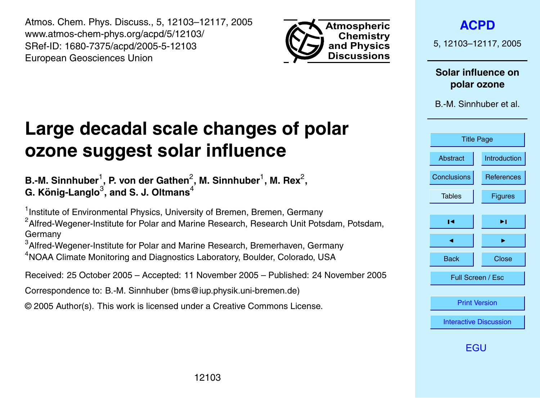<span id="page-0-0"></span>Atmos. Chem. Phys. Discuss., 5, 12103–12117, 2005 www.atmos-chem-phys.org/acpd/5/12103/ SRef-ID: 1680-7375/acpd/2005-5-12103 European Geosciences Union



**[ACPD](http://www.atmos-chem-phys.org/acpd.htm)**

5, 12103–12117, 2005

**Solar influence on polar ozone**

B.-M. Sinnhuber et al.



[EGU](http://www.copernicus.org/EGU/EGU.html)

# **Large decadal scale changes of polar ozone suggest solar influence**

B.-M. Sinnhuber<sup>1</sup>, P. von der Gathen<sup>2</sup>, M. Sinnhuber<sup>1</sup>, M. Rex<sup>2</sup>,  ${\bf G}.$  König-Langlo $^3$ , and S. J. Oltmans $^4$ 

<sup>1</sup> Institute of Environmental Physics, University of Bremen, Bremen, Germany

 $<sup>2</sup>$ Alfred-Wegener-Institute for Polar and Marine Research, Research Unit Potsdam, Potsdam,</sup> Germany

<sup>3</sup> Alfred-Wegener-Institute for Polar and Marine Research, Bremerhaven, Germany <sup>4</sup>NOAA Climate Monitoring and Diagnostics Laboratory, Boulder, Colorado, USA

Received: 25 October 2005 – Accepted: 11 November 2005 – Published: 24 November 2005

Correspondence to: B.-M. Sinnhuber (bms@iup.physik.uni-bremen.de)

© 2005 Author(s). This work is licensed under a Creative Commons License.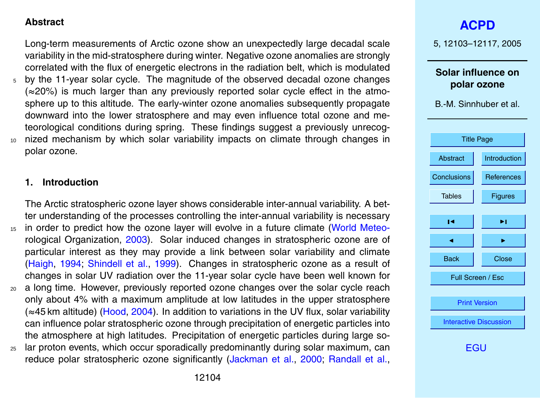## <span id="page-1-0"></span>**Abstract**

Long-term measurements of Arctic ozone show an unexpectedly large decadal scale variability in the mid-stratosphere during winter. Negative ozone anomalies are strongly correlated with the flux of energetic electrons in the radiation belt, which is modulated <sup>5</sup> by the 11-year solar cycle. The magnitude of the observed decadal ozone changes (≈20%) is much larger than any previously reported solar cycle effect in the atmosphere up to this altitude. The early-winter ozone anomalies subsequently propagate downward into the lower stratosphere and may even influence total ozone and meteorological conditions during spring. These findings suggest a previously unrecog-<sup>10</sup> nized mechanism by which solar variability impacts on climate through changes in polar ozone.

## **1. Introduction**

The Arctic stratospheric ozone layer shows considerable inter-annual variability. A better understanding of the processes controlling the inter-annual variability is necessary <sup>15</sup> [i](#page-10-0)n order to predict how the ozone layer will evolve in a future climate [\(World Meteo](#page-10-0)[rological Organization,](#page-10-0) [2003\)](#page-10-0). Solar induced changes in stratospheric ozone are of particular interest as they may provide a link between solar variability and climate [\(Haigh,](#page-8-0) [1994;](#page-8-0) [Shindell et al.,](#page-9-0) [1999\)](#page-9-0). Changes in stratospheric ozone as a result of changes in solar UV radiation over the 11-year solar cycle have been well known for <sup>20</sup> a long time. However, previously reported ozone changes over the solar cycle reach

- only about 4% with a maximum amplitude at low latitudes in the upper stratosphere (≈45 km altitude) [\(Hood,](#page-8-0) [2004\)](#page-8-0). In addition to variations in the UV flux, solar variability can influence polar stratospheric ozone through precipitation of energetic particles into the atmosphere at high latitudes. Precipitation of energetic particles during large so-
- <sup>25</sup> lar proton events, which occur sporadically predominantly during solar maximum, can reduce polar stratospheric ozone significantly [\(Jackman et al.,](#page-8-0) [2000;](#page-8-0) [Randall et al.,](#page-9-0)

5, 12103–12117, 2005

**Solar influence on polar ozone**

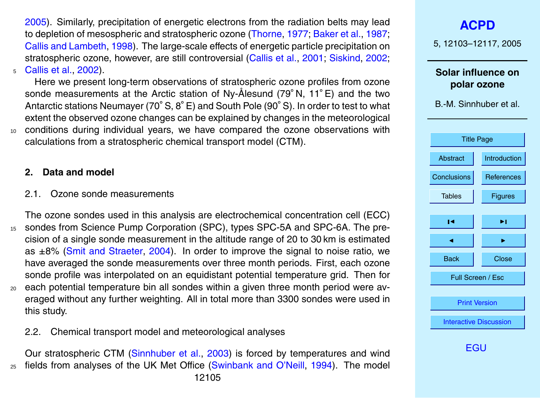<span id="page-2-0"></span>[2005\)](#page-9-0). Similarly, precipitation of energetic electrons from the radiation belts may lead to depletion of mesospheric and stratospheric ozone [\(Thorne,](#page-10-0) [1977;](#page-10-0) [Baker et al.,](#page-8-0) [1987;](#page-8-0) [Callis and Lambeth,](#page-8-0) [1998\)](#page-8-0). The large-scale effects of energetic particle precipitation on stratospheric ozone, however, are still controversial [\(Callis et al.,](#page-8-0) [2001;](#page-8-0) [Siskind,](#page-9-0) [2002;](#page-9-0) <sup>5</sup> [Callis et al.,](#page-8-0) [2002\)](#page-8-0).

Here we present long-term observations of stratospheric ozone profiles from ozone sonde measurements at the Arctic station of Ny-Ålesund (79°N, 11°E) and the two Antarctic stations Neumayer (70◦ S, 8◦ E) and South Pole (90◦ S). In order to test to what extent the observed ozone changes can be explained by changes in the meteorological <sup>10</sup> conditions during individual years, we have compared the ozone observations with calculations from a stratospheric chemical transport model (CTM).

## **2. Data and model**

- 2.1. Ozone sonde measurements
- The ozone sondes used in this analysis are electrochemical concentration cell (ECC) <sup>15</sup> sondes from Science Pump Corporation (SPC), types SPC-5A and SPC-6A. The precision of a single sonde measurement in the altitude range of 20 to 30 km is estimated as ±8% [\(Smit and Straeter,](#page-10-0) [2004\)](#page-10-0). In order to improve the signal to noise ratio, we have averaged the sonde measurements over three month periods. First, each ozone sonde profile was interpolated on an equidistant potential temperature grid. Then for <sup>20</sup> each potential temperature bin all sondes within a given three month period were averaged without any further weighting. All in total more than 3300 sondes were used in this study.
	- 2.2. Chemical transport model and meteorological analyses

Our stratospheric CTM [\(Sinnhuber et al.,](#page-9-0) [2003\)](#page-9-0) is forced by temperatures and wind <sup>25</sup> fields from analyses of the UK Met Office [\(Swinbank and O'Neill,](#page-10-0) [1994\)](#page-10-0). The model

# **[ACPD](http://www.atmos-chem-phys.org/acpd.htm)**

5, 12103–12117, 2005

**Solar influence on polar ozone**

B.-M. Sinnhuber et al.

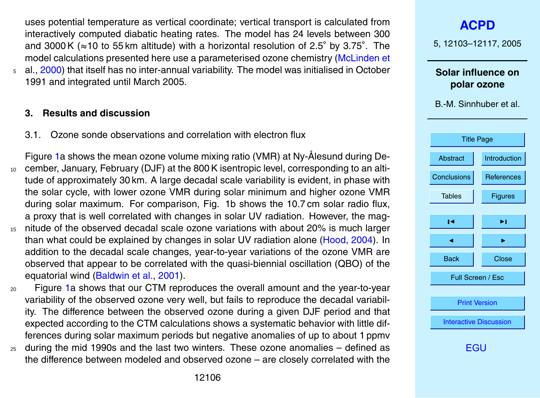<span id="page-3-0"></span>uses potential temperature as vertical coordinate; vertical transport is calculated from interactively computed diabatic heating rates. The model has 24 levels between 300 and 3000 K (≈10 to 55 km altitude) with a horizontal resolution of 2.5◦ by 3.75◦ . The [m](#page-9-0)odel calculations presented here use a parameterised ozone chemistry [\(McLinden et](#page-9-0) <sup>5</sup> [al.,](#page-9-0) [2000\)](#page-9-0) that itself has no inter-annual variability. The model was initialised in October 1991 and integrated until March 2005.

## **3. Results and discussion**

- 3.1. Ozone sonde observations and correlation with electron flux
- Figure [1a](#page-11-0) shows the mean ozone volume mixing ratio (VMR) at Ny-Ålesund during De-<sup>10</sup> cember, January, February (DJF) at the 800 K isentropic level, corresponding to an altitude of approximately 30 km. A large decadal scale variability is evident, in phase with the solar cycle, with lower ozone VMR during solar minimum and higher ozone VMR during solar maximum. For comparison, Fig. 1b shows the 10.7 cm solar radio flux, a proxy that is well correlated with changes in solar UV radiation. However, the mag-<sup>15</sup> nitude of the observed decadal scale ozone variations with about 20% is much larger than what could be explained by changes in solar UV radiation alone [\(Hood,](#page-8-0) [2004\)](#page-8-0). In addition to the decadal scale changes, year-to-year variations of the ozone VMR are
- observed that appear to be correlated with the quasi-biennial oscillation (QBO) of the equatorial wind [\(Baldwin et al.,](#page-8-0) [2001\)](#page-8-0).
- <sup>20</sup> Figure [1a](#page-11-0) shows that our CTM reproduces the overall amount and the year-to-year variability of the observed ozone very well, but fails to reproduce the decadal variability. The difference between the observed ozone during a given DJF period and that expected according to the CTM calculations shows a systematic behavior with little differences during solar maximum periods but negative anomalies of up to about 1 ppmv
- <sup>25</sup> during the mid 1990s and the last two winters. These ozone anomalies defined as the difference between modeled and observed ozone – are closely correlated with the

**[ACPD](http://www.atmos-chem-phys.org/acpd.htm)** 5, 12103–12117, 2005 **Solar influence on polar ozone** B.-M. Sinnhuber et al. [Title Page](#page-0-0) [Abstract](#page-1-0) [Introduction](#page-1-0) [Conclusions](#page-7-0) [References](#page-8-0) Tables | [Figures](#page-11-0)  $\blacksquare$  $\blacksquare$ Back | Close Full Screen / Esc [Print Version](http://www.atmos-chem-phys.org/acpd/5/12103/acpd-5-12103_p.pdf) [Interactive Discussion](http://www.atmos-chem-phys.org/acpd/5/12103/comments.php) [EGU](http://www.copernicus.org/EGU/EGU.html)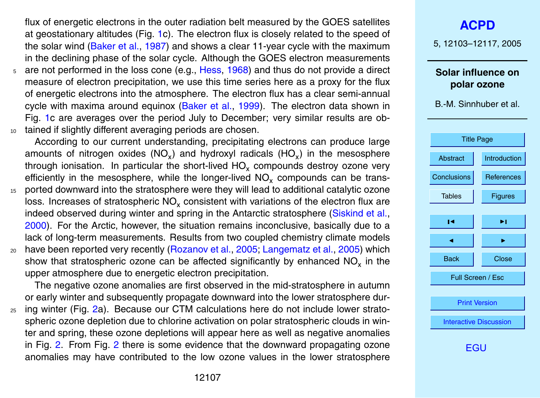<span id="page-4-0"></span>flux of energetic electrons in the outer radiation belt measured by the GOES satellites at geostationary altitudes (Fig. [1c](#page-11-0)). The electron flux is closely related to the speed of the solar wind [\(Baker et al.,](#page-8-0) [1987\)](#page-8-0) and shows a clear 11-year cycle with the maximum in the declining phase of the solar cycle. Although the GOES electron measurements

<sup>5</sup> are not performed in the loss cone (e.g., [Hess,](#page-8-0) [1968\)](#page-8-0) and thus do not provide a direct measure of electron precipitation, we use this time series here as a proxy for the flux of energetic electrons into the atmosphere. The electron flux has a clear semi-annual cycle with maxima around equinox [\(Baker et al.,](#page-8-0) [1999\)](#page-8-0). The electron data shown in Fig. [1c](#page-11-0) are averages over the period July to December; very similar results are ob-10 tained if slightly different averaging periods are chosen.

According to our current understanding, precipitating electrons can produce large amounts of nitrogen oxides (NO<sub>x</sub>) and hydroxyl radicals (HO<sub>x</sub>) in the mesosphere through ionisation. In particular the short-lived  $\mathsf{HO}_{\mathsf{x}}$  compounds destroy ozone very efficiently in the mesosphere, while the longer-lived  $NO_x$  compounds can be trans-

- <sup>15</sup> ported downward into the stratosphere were they will lead to additional catalytic ozone loss. Increases of stratospheric NO<sub>x</sub> consistent with variations of the electron flux are indeed observed during winter and spring in the Antarctic stratosphere [\(Siskind et al.,](#page-10-0) [2000\)](#page-10-0). For the Arctic, however, the situation remains inconclusive, basically due to a lack of long-term measurements. Results from two coupled chemistry climate models
- <sup>20</sup> have been reported very recently [\(Rozanov et al.,](#page-9-0) [2005;](#page-9-0) [Langematz et al.,](#page-9-0) [2005\)](#page-9-0) which show that stratospheric ozone can be affected significantly by enhanced  $\mathrm{NO_x}$  in the upper atmosphere due to energetic electron precipitation.

The negative ozone anomalies are first observed in the mid-stratosphere in autumn or early winter and subsequently propagate downward into the lower stratosphere dur-

<sup>25</sup> ing winter (Fig. [2a](#page-12-0)). Because our CTM calculations here do not include lower stratospheric ozone depletion due to chlorine activation on polar stratospheric clouds in winter and spring, these ozone depletions will appear here as well as negative anomalies in Fig. [2.](#page-12-0) From Fig. [2](#page-12-0) there is some evidence that the downward propagating ozone anomalies may have contributed to the low ozone values in the lower stratosphere

5, 12103–12117, 2005

## **Solar influence on polar ozone**

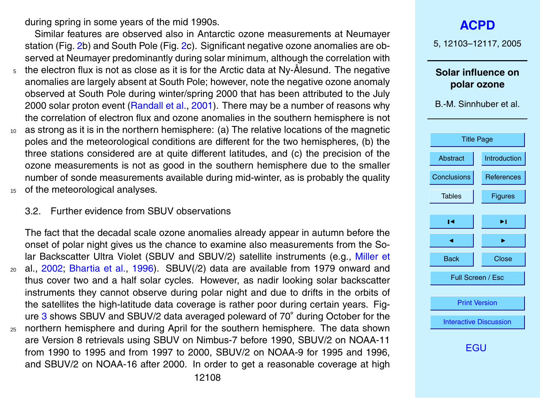<span id="page-5-0"></span>during spring in some years of the mid 1990s.

Similar features are observed also in Antarctic ozone measurements at Neumayer station (Fig. [2b](#page-12-0)) and South Pole (Fig. [2c](#page-12-0)). Significant negative ozone anomalies are observed at Neumayer predominantly during solar minimum, although the correlation with

- $\frac{1}{5}$  the electron flux is not as close as it is for the Arctic data at Ny-Ålesund. The negative anomalies are largely absent at South Pole; however, note the negative ozone anomaly observed at South Pole during winter/spring 2000 that has been attributed to the July 2000 solar proton event [\(Randall et al.,](#page-9-0) [2001\)](#page-9-0). There may be a number of reasons why the correlation of electron flux and ozone anomalies in the southern hemisphere is not
- <sup>10</sup> as strong as it is in the northern hemisphere: (a) The relative locations of the magnetic poles and the meteorological conditions are different for the two hemispheres, (b) the three stations considered are at quite different latitudes, and (c) the precision of the ozone measurements is not as good in the southern hemisphere due to the smaller number of sonde measurements available during mid-winter, as is probably the quality <sup>15</sup> of the meteorological analyses.
- 

#### 3.2. Further evidence from SBUV observations

The fact that the decadal scale ozone anomalies already appear in autumn before the onset of polar night gives us the chance to examine also measurements from the So[l](#page-9-0)ar Backscatter Ultra Violet (SBUV and SBUV/2) satellite instruments (e.g., [Miller et](#page-9-0) <sup>20</sup> [al.,](#page-9-0) [2002;](#page-9-0) [Bhartia et al.,](#page-8-0) [1996\)](#page-8-0). SBUV(/2) data are available from 1979 onward and thus cover two and a half solar cycles. However, as nadir looking solar backscatter instruments they cannot observe during polar night and due to drifts in the orbits of the satellites the high-latitude data coverage is rather poor during certain years. Fig-ure [3](#page-13-0) shows SBUV and SBUV/2 data averaged poleward of 70° during October for the <sup>25</sup> northern hemisphere and during April for the southern hemisphere. The data shown are Version 8 retrievals using SBUV on Nimbus-7 before 1990, SBUV/2 on NOAA-11 from 1990 to 1995 and from 1997 to 2000, SBUV/2 on NOAA-9 for 1995 and 1996, and SBUV/2 on NOAA-16 after 2000. In order to get a reasonable coverage at high

5, 12103–12117, 2005

## **Solar influence on polar ozone**

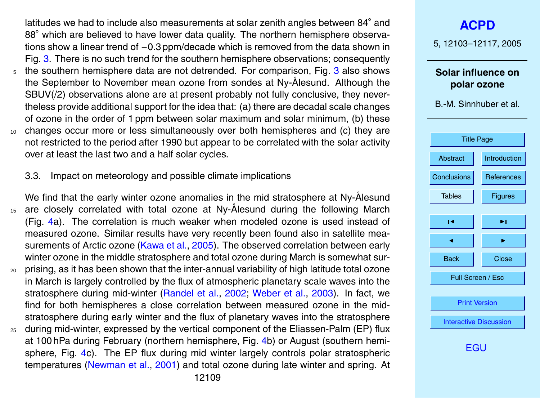<span id="page-6-0"></span>latitudes we had to include also measurements at solar zenith angles between 84° and 88° which are believed to have lower data quality. The northern hemisphere observations show a linear trend of −0.3 ppm/decade which is removed from the data shown in Fig. [3.](#page-13-0) There is no such trend for the southern hemisphere observations; consequently <sup>5</sup> the southern hemisphere data are not detrended. For comparison, Fig. [3](#page-13-0) also shows the September to November mean ozone from sondes at Ny-Ålesund. Although the SBUV(/2) observations alone are at present probably not fully conclusive, they nevertheless provide additional support for the idea that: (a) there are decadal scale changes of ozone in the order of 1 ppm between solar maximum and solar minimum, (b) these <sup>10</sup> changes occur more or less simultaneously over both hemispheres and (c) they are not restricted to the period after 1990 but appear to be correlated with the solar activity over at least the last two and a half solar cycles.

3.3. Impact on meteorology and possible climate implications

We find that the early winter ozone anomalies in the mid stratosphere at Ny-Ålesund 15 are closely correlated with total ozone at Ny-Ålesund during the following March (Fig. [4a](#page-14-0)). The correlation is much weaker when modeled ozone is used instead of measured ozone. Similar results have very recently been found also in satellite measurements of Arctic ozone [\(Kawa et al.,](#page-9-0) [2005\)](#page-9-0). The observed correlation between early winter ozone in the middle stratosphere and total ozone during March is somewhat sur-<sup>20</sup> prising, as it has been shown that the inter-annual variability of high latitude total ozone

- in March is largely controlled by the flux of atmospheric planetary scale waves into the stratosphere during mid-winter [\(Randel et al.,](#page-9-0) [2002;](#page-9-0) [Weber et al.,](#page-10-0) [2003\)](#page-10-0). In fact, we find for both hemispheres a close correlation between measured ozone in the midstratosphere during early winter and the flux of planetary waves into the stratosphere
- <sup>25</sup> during mid-winter, expressed by the vertical component of the Eliassen-Palm (EP) flux at 100 hPa during February (northern hemisphere, Fig. [4b](#page-14-0)) or August (southern hemisphere, Fig. [4c](#page-14-0)). The EP flux during mid winter largely controls polar stratospheric temperatures [\(Newman et al.,](#page-9-0) [2001\)](#page-9-0) and total ozone during late winter and spring. At

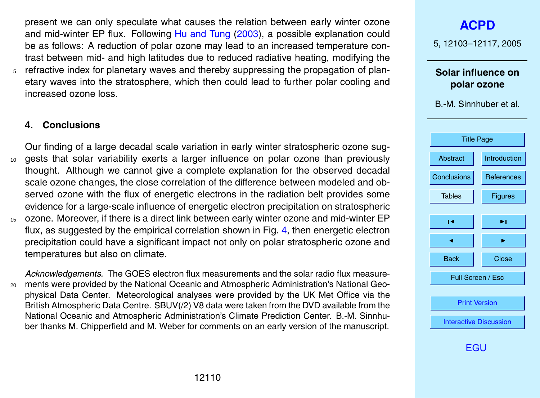<span id="page-7-0"></span>present we can only speculate what causes the relation between early winter ozone and mid-winter EP flux. Following [Hu and Tung](#page-8-0) [\(2003\)](#page-8-0), a possible explanation could be as follows: A reduction of polar ozone may lead to an increased temperature contrast between mid- and high latitudes due to reduced radiative heating, modifying the  $5$  refractive index for planetary waves and thereby suppressing the propagation of planetary waves into the stratosphere, which then could lead to further polar cooling and increased ozone loss.

## **4. Conclusions**

Our finding of a large decadal scale variation in early winter stratospheric ozone sug-<sup>10</sup> gests that solar variability exerts a larger influence on polar ozone than previously thought. Although we cannot give a complete explanation for the observed decadal scale ozone changes, the close correlation of the difference between modeled and observed ozone with the flux of energetic electrons in the radiation belt provides some evidence for a large-scale influence of energetic electron precipitation on stratospheric <sup>15</sup> ozone. Moreover, if there is a direct link between early winter ozone and mid-winter EP flux, as suggested by the empirical correlation shown in Fig. [4,](#page-14-0) then energetic electron precipitation could have a significant impact not only on polar stratospheric ozone and temperatures but also on climate.

*Acknowledgements.* The GOES electron flux measurements and the solar radio flux measure-<sup>20</sup> ments were provided by the National Oceanic and Atmospheric Administration's National Geophysical Data Center. Meteorological analyses were provided by the UK Met Office via the British Atmospheric Data Centre. SBUV(/2) V8 data were taken from the DVD available from the National Oceanic and Atmospheric Administration's Climate Prediction Center. B.-M. Sinnhuber thanks M. Chipperfield and M. Weber for comments on an early version of the manuscript.

**[ACPD](http://www.atmos-chem-phys.org/acpd.htm)** 5, 12103–12117, 2005 **Solar influence on polar ozone** B.-M. Sinnhuber et al. [Title Page](#page-0-0) [Abstract](#page-1-0) [Introduction](#page-1-0) Conclusions [References](#page-8-0) Tables | [Figures](#page-11-0)  $\blacksquare$  $\blacksquare$ Back | Close Full Screen / Esc [Print Version](http://www.atmos-chem-phys.org/acpd/5/12103/acpd-5-12103_p.pdf) [Interactive Discussion](http://www.atmos-chem-phys.org/acpd/5/12103/comments.php)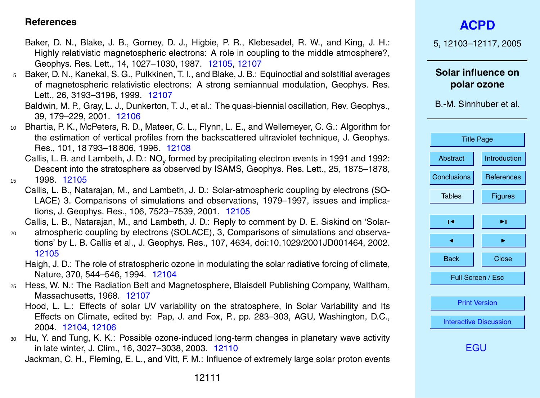## <span id="page-8-0"></span>**References**

- Baker, D. N., Blake, J. B., Gorney, D. J., Higbie, P. R., Klebesadel, R. W., and King, J. H.: Highly relativistic magnetospheric electrons: A role in coupling to the middle atmosphere?, Geophys. Res. Lett., 14, 1027–1030, 1987. [12105,](#page-2-0) [12107](#page-4-0)
- <sup>5</sup> Baker, D. N., Kanekal, S. G., Pulkkinen, T. I., and Blake, J. B.: Equinoctial and solstitial averages of magnetospheric relativistic electrons: A strong semiannual modulation, Geophys. Res. Lett., 26, 3193–3196, 1999. [12107](#page-4-0)
	- Baldwin, M. P., Gray, L. J., Dunkerton, T. J., et al.: The quasi-biennial oscillation, Rev. Geophys., 39, 179–229, 2001. [12106](#page-3-0)
- <sup>10</sup> Bhartia, P. K., McPeters, R. D., Mateer, C. L., Flynn, L. E., and Wellemeyer, C. G.: Algorithm for the estimation of vertical profiles from the backscattered ultraviolet technique, J. Geophys. Res., 101, 18 793–18 806, 1996. [12108](#page-5-0)
	- Callis, L. B. and Lambeth, J. D.: NO<sub>y</sub> formed by precipitating electron events in 1991 and 1992: Descent into the stratosphere as observed by ISAMS, Geophys. Res. Lett., 25, 1875–1878,

<sup>15</sup> 1998. [12105](#page-2-0)

Callis, L. B., Natarajan, M., and Lambeth, J. D.: Solar-atmospheric coupling by electrons (SO-LACE) 3. Comparisons of simulations and observations, 1979–1997, issues and implications, J. Geophys. Res., 106, 7523–7539, 2001. [12105](#page-2-0)

Callis, L. B., Natarajan, M., and Lambeth, J. D.: Reply to comment by D. E. Siskind on 'Solar-

- <sup>20</sup> atmospheric coupling by electrons (SOLACE), 3, Comparisons of simulations and observations' by L. B. Callis et al., J. Geophys. Res., 107, 4634, doi:10.1029/2001JD001464, 2002. [12105](#page-2-0)
	- Haigh, J. D.: The role of stratospheric ozone in modulating the solar radiative forcing of climate, Nature, 370, 544–546, 1994. [12104](#page-1-0)
- <sup>25</sup> Hess, W. N.: The Radiation Belt and Magnetosphere, Blaisdell Publishing Company, Waltham, Massachusetts, 1968. [12107](#page-4-0)
	- Hood, L. L.: Effects of solar UV variability on the stratosphere, in Solar Variability and Its Effects on Climate, edited by: Pap, J. and Fox, P., pp. 283–303, AGU, Washington, D.C., 2004. [12104,](#page-1-0) [12106](#page-3-0)
- <sup>30</sup> Hu, Y. and Tung, K. K.: Possible ozone-induced long-term changes in planetary wave activity in late winter, J. Clim., 16, 3027–3038, 2003. [12110](#page-7-0) Jackman, C. H., Fleming, E. L., and Vitt, F. M.: Influence of extremely large solar proton events

5, 12103–12117, 2005

**Solar influence on polar ozone**

B.-M. Sinnhuber et al.

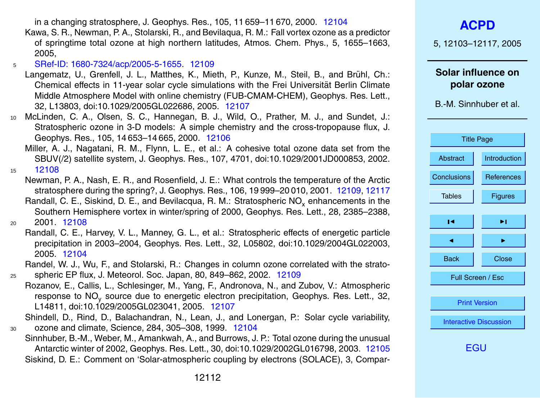in a changing stratosphere, J. Geophys. Res., 105, 11 659–11 670, 2000. [12104](#page-1-0)

- <span id="page-9-0"></span>Kawa, S. R., Newman, P. A., Stolarski, R., and Bevilaqua, R. M.: Fall vortex ozone as a predictor of springtime total ozone at high northern latitudes, Atmos. Chem. Phys., 5, 1655–1663, 2005,
- <sup>5</sup> [SRef-ID: 1680-7324/acp/2005-5-1655.](http://direct.sref.org/1680-7324/acp/2005-5-1655) [12109](#page-6-0)
- Langematz, U., Grenfell, J. L., Matthes, K., Mieth, P., Kunze, M., Steil, B., and Brühl, Ch.; Chemical effects in 11-year solar cycle simulations with the Frei Universität Berlin Climate Middle Atmosphere Model with online chemistry (FUB-CMAM-CHEM), Geophys. Res. Lett., 32, L13803, doi:10.1029/2005GL022686, 2005. [12107](#page-4-0)
- <sup>10</sup> McLinden, C. A., Olsen, S. C., Hannegan, B. J., Wild, O., Prather, M. J., and Sundet, J.: Stratospheric ozone in 3-D models: A simple chemistry and the cross-tropopause flux, J. Geophys. Res., 105, 14 653–14 665, 2000. [12106](#page-3-0)
	- Miller, A. J., Nagatani, R. M., Flynn, L. E., et al.: A cohesive total ozone data set from the SBUV(/2) satellite system, J. Geophys. Res., 107, 4701, doi:10.1029/2001JD000853, 2002.

<sup>15</sup> [12108](#page-5-0)

- Newman, P. A., Nash, E. R., and Rosenfield, J. E.: What controls the temperature of the Arctic stratosphere during the spring?, J. Geophys. Res., 106, 19 999–20 010, 2001. [12109,](#page-6-0) [12117](#page-14-0) Randall, C. E., Siskind, D. E., and Bevilacqua, R. M.: Stratospheric NO<sub>y</sub> enhancements in the Southern Hemisphere vortex in winter/spring of 2000, Geophys. Res. Lett., 28, 2385–2388, <sup>20</sup> 2001. [12108](#page-5-0)
	- Randall, C. E., Harvey, V. L., Manney, G. L., et al.: Stratospheric effects of energetic particle precipitation in 2003–2004, Geophys. Res. Lett., 32, L05802, doi:10.1029/2004GL022003, 2005. [12104](#page-1-0)
- Randel, W. J., Wu, F., and Stolarski, R.: Changes in column ozone correlated with the strato-<sup>25</sup> spheric EP flux, J. Meteorol. Soc. Japan, 80, 849–862, 2002. [12109](#page-6-0)
	- Rozanov, E., Callis, L., Schlesinger, M., Yang, F., Andronova, N., and Zubov, V.: Atmospheric response to NO<sub>y</sub> source due to energetic electron precipitation, Geophys. Res. Lett., 32, L14811, doi:10.1029/2005GL023041, 2005. [12107](#page-4-0)
- Shindell, D., Rind, D., Balachandran, N., Lean, J., and Lonergan, P.: Solar cycle variability, <sup>30</sup> ozone and climate, Science, 284, 305–308, 1999. [12104](#page-1-0)
	- Sinnhuber, B.-M., Weber, M., Amankwah, A., and Burrows, J. P.: Total ozone during the unusual Antarctic winter of 2002, Geophys. Res. Lett., 30, doi:10.1029/2002GL016798, 2003. [12105](#page-2-0) Siskind, D. E.: Comment on 'Solar-atmospheric coupling by electrons (SOLACE), 3, Compar-

5, 12103–12117, 2005

**Solar influence on polar ozone**

B.-M. Sinnhuber et al.

| <b>Title Page</b>             |                     |  |
|-------------------------------|---------------------|--|
| Abstract                      | <b>Introduction</b> |  |
| Conclusions                   | References          |  |
| <b>Tables</b>                 | Figures             |  |
| ы                             | ы                   |  |
|                               |                     |  |
| <b>Back</b>                   | Close               |  |
| Full Screen / Esc             |                     |  |
|                               |                     |  |
| <b>Print Version</b>          |                     |  |
| <b>Interactive Discussion</b> |                     |  |
|                               |                     |  |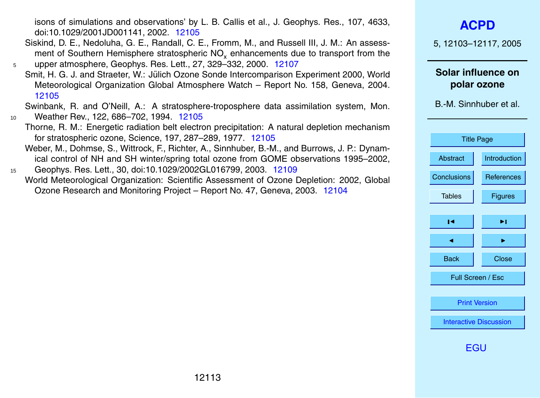12113

<span id="page-10-0"></span>isons of simulations and observations' by L. B. Callis et al., J. Geophys. Res., 107, 4633, doi:10.1029/2001JD001141, 2002. [12105](#page-2-0)

- Siskind, D. E., Nedoluha, G. E., Randall, C. E., Fromm, M., and Russell III, J. M.: An assessment of Southern Hemisphere stratospheric NO<sub>y</sub> enhancements due to transport from the <sup>5</sup> upper atmosphere, Geophys. Res. Lett., 27, 329–332, 2000. [12107](#page-4-0)
- Smit, H. G. J. and Straeter, W.: Jülich Ozone Sonde Intercomparison Experiment 2000, World Meteorological Organization Global Atmosphere Watch – Report No. 158, Geneva, 2004. [12105](#page-2-0)

Swinbank, R. and O'Neill, A.: A stratosphere-troposphere data assimilation system, Mon. <sup>10</sup> Weather Rev., 122, 686–702, 1994. [12105](#page-2-0)

- Thorne, R. M.: Energetic radiation belt electron precipitation: A natural depletion mechanism for stratospheric ozone, Science, 197, 287–289, 1977. [12105](#page-2-0)
- Weber, M., Dohmse, S., Wittrock, F., Richter, A., Sinnhuber, B.-M., and Burrows, J. P.: Dynamical control of NH and SH winter/spring total ozone from GOME observations 1995–2002,
- <sup>15</sup> Geophys. Res. Lett., 30, doi:10.1029/2002GL016799, 2003. [12109](#page-6-0) World Meteorological Organization: Scientific Assessment of Ozone Depletion: 2002, Global Ozone Research and Monitoring Project – Report No. 47, Geneva, 2003. [12104](#page-1-0)

## **[ACPD](http://www.atmos-chem-phys.org/acpd.htm)**

5, 12103–12117, 2005

**Solar influence on polar ozone**

| <b>Title Page</b>             |                   |  |
|-------------------------------|-------------------|--|
| Abstract                      | Introduction      |  |
| Conclusions                   | <b>References</b> |  |
| <b>Tables</b>                 | Figures           |  |
|                               |                   |  |
| ∣◀                            | ы                 |  |
|                               |                   |  |
| Back                          | Close             |  |
| Full Screen / Esc             |                   |  |
|                               |                   |  |
| <b>Print Version</b>          |                   |  |
| <b>Interactive Discussion</b> |                   |  |
| - ( ÷                         |                   |  |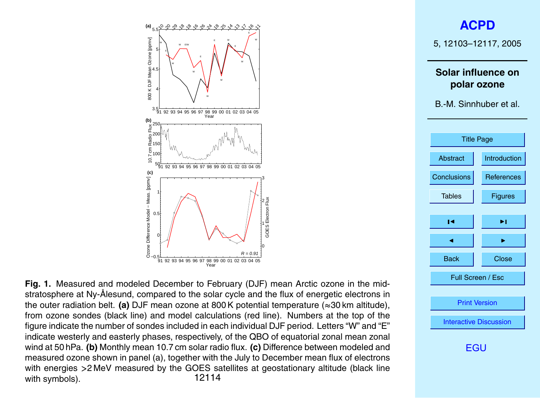<span id="page-11-0"></span>

**Fig. 1.** Measured and modeled December to February (DJF) mean Arctic ozone in the midstratosphere at Ny-Ålesund, compared to the solar cycle and the flux of energetic electrons in the outer radiation belt. **(a)** DJF mean ozone at 800 K potential temperature (≈30 km altitude), from ozone sondes (black line) and model calculations (red line). Numbers at the top of the figure indicate the number of sondes included in each individual DJF period. Letters "W" and "E" indicate westerly and easterly phases, respectively, of the QBO of equatorial zonal mean zonal wind at 50 hPa. **(b)** Monthly mean 10.7 cm solar radio flux. **(c)** Difference between modeled and measured ozone shown in panel (a), together with the July to December mean flux of electrons with energies >2 MeV measured by the GOES satellites at geostationary altitude (black line<br>12114<br>12114 with symbols).

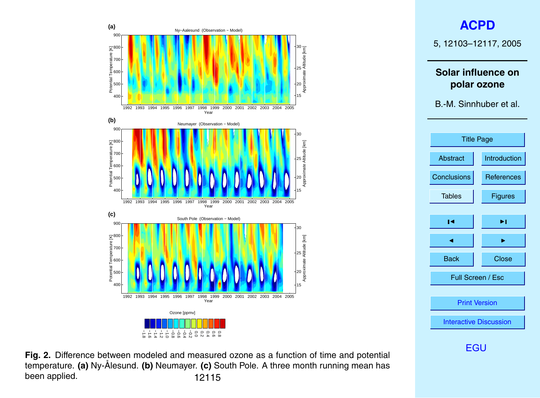<span id="page-12-0"></span>

**Fig. 2.** Difference between modeled and measured ozone as a function of time and potential temperature. (a) Ny-Ålesund. (b) Neumayer. (c) South Pole. A three month running mean has been applied. 12115

# **[ACPD](http://www.atmos-chem-phys.org/acpd.htm)**

5, 12103–12117, 2005

## **Solar influence on polar ozone**

B.-M. Sinnhuber et al.

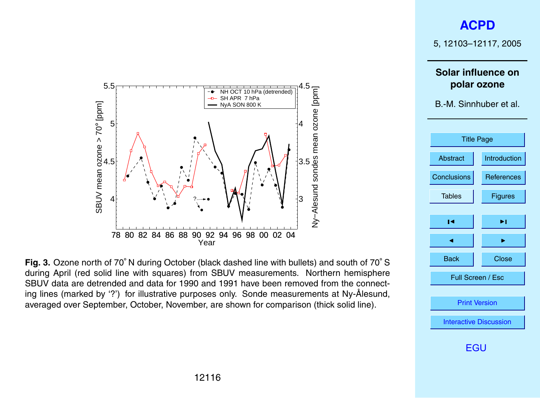# **[ACPD](http://www.atmos-chem-phys.org/acpd.htm)**

5, 12103–12117, 2005

**Solar influence on polar ozone**

B.-M. Sinnhuber et al.



[EGU](http://www.copernicus.org/EGU/EGU.html)

<span id="page-13-0"></span>

**Fig. 3.** Ozone north of 70◦ N during October (black dashed line with bullets) and south of 70◦ S during April (red solid line with squares) from SBUV measurements. Northern hemisphere SBUV data are detrended and data for 1990 and 1991 have been removed from the connecting lines (marked by '?') for illustrative purposes only. Sonde measurements at Ny-Ålesund, averaged over September, October, November, are shown for comparison (thick solid line).